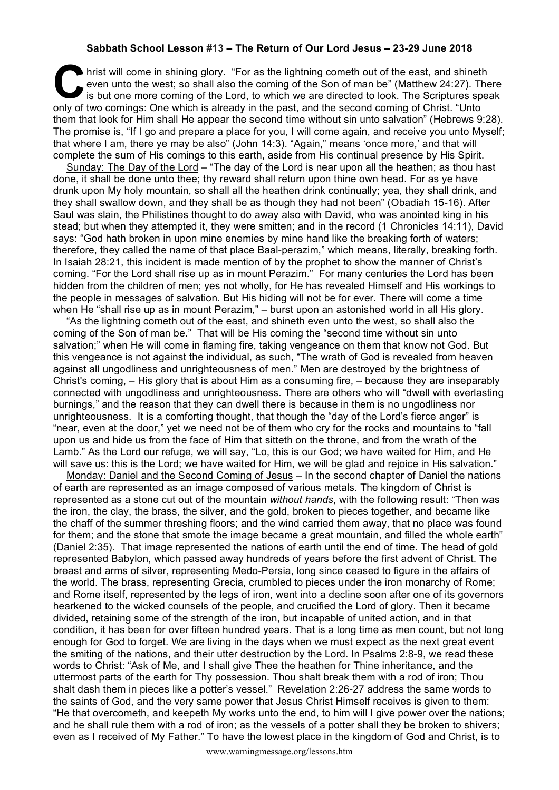## **Sabbath School Lesson #13 – The Return of Our Lord Jesus – 23-29 June 2018**

hrist will come in shining glory. "For as the lightning cometh out of the east, and shineth even unto the west; so shall also the coming of the Son of man be" (Matthew 24:27). The is but one more coming of the Lord, to whi even unto the west; so shall also the coming of the Son of man be" (Matthew 24:27). There is but one more coming of the Lord, to which we are directed to look. The Scriptures speak only of two comings: One which is already in the past, and the second coming of Christ. "Unto them that look for Him shall He appear the second time without sin unto salvation" (Hebrews 9:28). The promise is, "If I go and prepare a place for you, I will come again, and receive you unto Myself; that where I am, there ye may be also" (John 14:3). "Again," means 'once more,' and that will complete the sum of His comings to this earth, aside from His continual presence by His Spirit.

Sunday: The Day of the Lord – "The day of the Lord is near upon all the heathen; as thou hast done, it shall be done unto thee; thy reward shall return upon thine own head. For as ye have drunk upon My holy mountain, so shall all the heathen drink continually; yea, they shall drink, and they shall swallow down, and they shall be as though they had not been" (Obadiah 15-16). After Saul was slain, the Philistines thought to do away also with David, who was anointed king in his stead; but when they attempted it, they were smitten; and in the record (1 Chronicles 14:11), David says: "God hath broken in upon mine enemies by mine hand like the breaking forth of waters; therefore, they called the name of that place Baal-perazim," which means, literally, breaking forth. In Isaiah 28:21, this incident is made mention of by the prophet to show the manner of Christ's coming. "For the Lord shall rise up as in mount Perazim." For many centuries the Lord has been hidden from the children of men; yes not wholly, for He has revealed Himself and His workings to the people in messages of salvation. But His hiding will not be for ever. There will come a time when He "shall rise up as in mount Perazim," – burst upon an astonished world in all His glory.

"As the lightning cometh out of the east, and shineth even unto the west, so shall also the coming of the Son of man be." That will be His coming the "second time without sin unto salvation;" when He will come in flaming fire, taking vengeance on them that know not God. But this vengeance is not against the individual, as such, "The wrath of God is revealed from heaven against all ungodliness and unrighteousness of men." Men are destroyed by the brightness of Christ's coming, – His glory that is about Him as a consuming fire, – because they are inseparably connected with ungodliness and unrighteousness. There are others who will "dwell with everlasting burnings," and the reason that they can dwell there is because in them is no ungodliness nor unrighteousness. It is a comforting thought, that though the "day of the Lord's fierce anger" is "near, even at the door," yet we need not be of them who cry for the rocks and mountains to "fall upon us and hide us from the face of Him that sitteth on the throne, and from the wrath of the Lamb." As the Lord our refuge, we will say, "Lo, this is our God; we have waited for Him, and He will save us: this is the Lord; we have waited for Him, we will be glad and rejoice in His salvation."

Monday: Daniel and the Second Coming of Jesus – In the second chapter of Daniel the nations of earth are represented as an image composed of various metals. The kingdom of Christ is represented as a stone cut out of the mountain *without hands*, with the following result: "Then was the iron, the clay, the brass, the silver, and the gold, broken to pieces together, and became like the chaff of the summer threshing floors; and the wind carried them away, that no place was found for them; and the stone that smote the image became a great mountain, and filled the whole earth" (Daniel 2:35). That image represented the nations of earth until the end of time. The head of gold represented Babylon, which passed away hundreds of years before the first advent of Christ. The breast and arms of silver, representing Medo-Persia, long since ceased to figure in the affairs of the world. The brass, representing Grecia, crumbled to pieces under the iron monarchy of Rome; and Rome itself, represented by the legs of iron, went into a decline soon after one of its governors hearkened to the wicked counsels of the people, and crucified the Lord of glory. Then it became divided, retaining some of the strength of the iron, but incapable of united action, and in that condition, it has been for over fifteen hundred years. That is a long time as men count, but not long enough for God to forget. We are living in the days when we must expect as the next great event the smiting of the nations, and their utter destruction by the Lord. In Psalms 2:8-9, we read these words to Christ: "Ask of Me, and I shall give Thee the heathen for Thine inheritance, and the uttermost parts of the earth for Thy possession. Thou shalt break them with a rod of iron; Thou shalt dash them in pieces like a potter's vessel." Revelation 2:26-27 address the same words to the saints of God, and the very same power that Jesus Christ Himself receives is given to them: "He that overcometh, and keepeth My works unto the end, to him will I give power over the nations; and he shall rule them with a rod of iron; as the vessels of a potter shall they be broken to shivers; even as I received of My Father." To have the lowest place in the kingdom of God and Christ, is to